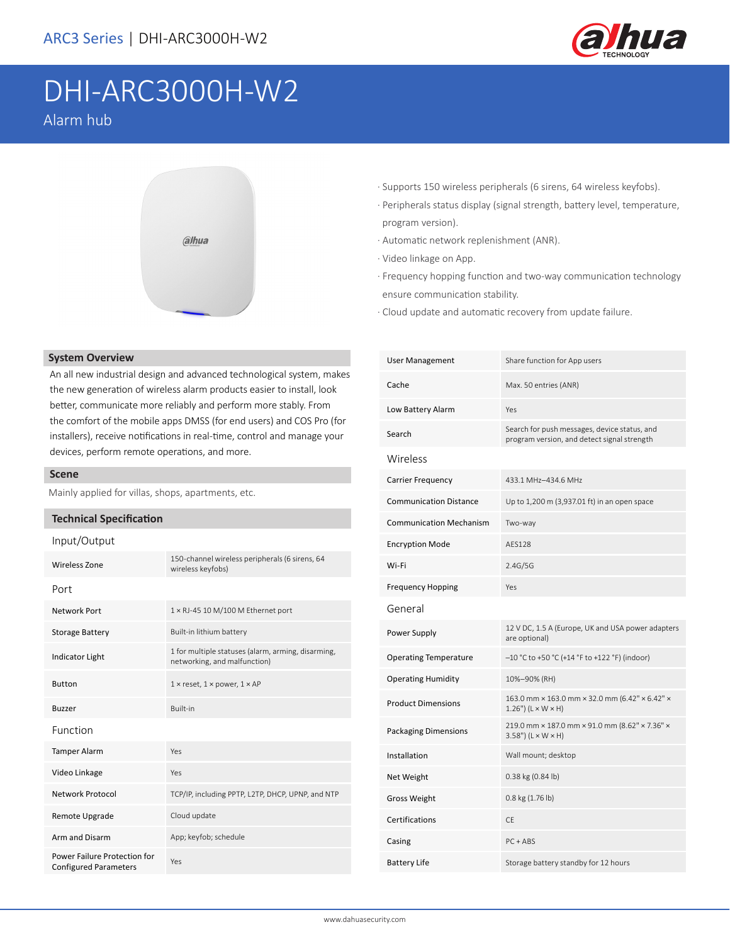

# DHI-ARC3000H-W2 Alarm hub



#### **System Overview**

An all new industrial design and advanced technological system, makes the new generation of wireless alarm products easier to install, look better, communicate more reliably and perform more stably. From the comfort of the mobile apps DMSS (for end users) and COS Pro (for installers), receive notifications in real-time, control and manage your devices, perform remote operations, and more.

#### **Scene**

Mainly applied for villas, shops, apartments, etc.

#### **Technical Specification**

| Input/Output                                                 |                                                                                    |  |
|--------------------------------------------------------------|------------------------------------------------------------------------------------|--|
| Wireless Zone                                                | 150-channel wireless peripherals (6 sirens, 64<br>wireless keyfobs)                |  |
| Port                                                         |                                                                                    |  |
| <b>Network Port</b>                                          | $1 \times R$ J-45 10 M/100 M Ethernet port                                         |  |
| <b>Storage Battery</b>                                       | Built-in lithium battery                                                           |  |
| <b>Indicator Light</b>                                       | 1 for multiple statuses (alarm, arming, disarming,<br>networking, and malfunction) |  |
| <b>Button</b>                                                | $1 \times$ reset, $1 \times$ power, $1 \times AP$                                  |  |
| <b>Buzzer</b>                                                | <b>Built-in</b>                                                                    |  |
| Function                                                     |                                                                                    |  |
| <b>Tamper Alarm</b>                                          | Yes                                                                                |  |
| Video Linkage                                                | Yes                                                                                |  |
| Network Protocol                                             | TCP/IP, including PPTP, L2TP, DHCP, UPNP, and NTP                                  |  |
| Remote Upgrade                                               | Cloud update                                                                       |  |
| Arm and Disarm                                               | App; keyfob; schedule                                                              |  |
| Power Failure Protection for<br><b>Configured Parameters</b> | Yes                                                                                |  |

- · Supports 150 wireless peripherals (6 sirens, 64 wireless keyfobs).
- · Peripherals status display (signal strength, battery level, temperature, program version).
- · Automatic network replenishment (ANR).
- · Video linkage on App.
- · Frequency hopping function and two-way communication technology ensure communication stability.
- · Cloud update and automatic recovery from update failure.

| <b>User Management</b>         | Share function for App users                                                                |
|--------------------------------|---------------------------------------------------------------------------------------------|
| Cache                          | Max. 50 entries (ANR)                                                                       |
| Low Battery Alarm              | Yes                                                                                         |
| Search                         | Search for push messages, device status, and<br>program version, and detect signal strength |
| Wireless                       |                                                                                             |
| <b>Carrier Frequency</b>       | 433.1 MHz-434.6 MHz                                                                         |
| <b>Communication Distance</b>  | Up to 1,200 m (3,937.01 ft) in an open space                                                |
| <b>Communication Mechanism</b> | Two-way                                                                                     |
| <b>Encryption Mode</b>         | AFS128                                                                                      |
| Wi-Fi                          | 2.4G/5G                                                                                     |
| <b>Frequency Hopping</b>       | Yes                                                                                         |
| General                        |                                                                                             |
| Power Supply                   | 12 V DC, 1.5 A (Europe, UK and USA power adapters<br>are optional)                          |
| <b>Operating Temperature</b>   | $-10$ °C to +50 °C (+14 °F to +122 °F) (indoor)                                             |
| <b>Operating Humidity</b>      | 10%-90% (RH)                                                                                |
| <b>Product Dimensions</b>      | 163.0 mm × 163.0 mm × 32.0 mm (6.42" × 6.42" ×<br>$1.26$ ") ( $L \times W \times H$ )       |
| <b>Packaging Dimensions</b>    | 219.0 mm × 187.0 mm × 91.0 mm (8.62" × 7.36" ×<br>$3.58"$ ) (L × W × H)                     |
| Installation                   | Wall mount; desktop                                                                         |
| Net Weight                     | 0.38 kg (0.84 lb)                                                                           |
| <b>Gross Weight</b>            | 0.8 kg (1.76 lb)                                                                            |
| Certifications                 | CE                                                                                          |
| Casing                         | $PC + ABS$                                                                                  |
| <b>Battery Life</b>            | Storage battery standby for 12 hours                                                        |